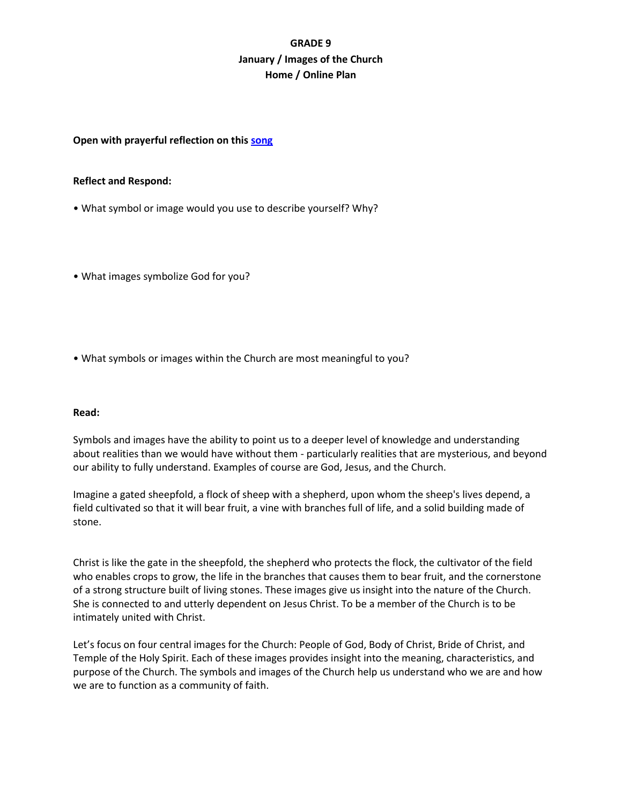# **GRADE 9 January / Images of the Church Home / Online Plan**

## **Open with prayerful reflection on this [song](https://www.youtube.com/watch?v=N-3BO_PQbqY)**

#### **Reflect and Respond:**

- What symbol or image would you use to describe yourself? Why?
- What images symbolize God for you?
- What symbols or images within the Church are most meaningful to you?

# **Read:**

Symbols and images have the ability to point us to a deeper level of knowledge and understanding about realities than we would have without them - particularly realities that are mysterious, and beyond our ability to fully understand. Examples of course are God, Jesus, and the Church.

Imagine a gated sheepfold, a flock of sheep with a shepherd, upon whom the sheep's lives depend, a field cultivated so that it will bear fruit, a vine with branches full of life, and a solid building made of stone.

Christ is like the gate in the sheepfold, the shepherd who protects the flock, the cultivator of the field who enables crops to grow, the life in the branches that causes them to bear fruit, and the cornerstone of a strong structure built of living stones. These images give us insight into the nature of the Church. She is connected to and utterly dependent on Jesus Christ. To be a member of the Church is to be intimately united with Christ.

Let's focus on four central images for the Church: People of God, Body of Christ, Bride of Christ, and Temple of the Holy Spirit. Each of these images provides insight into the meaning, characteristics, and purpose of the Church. The symbols and images of the Church help us understand who we are and how we are to function as a community of faith.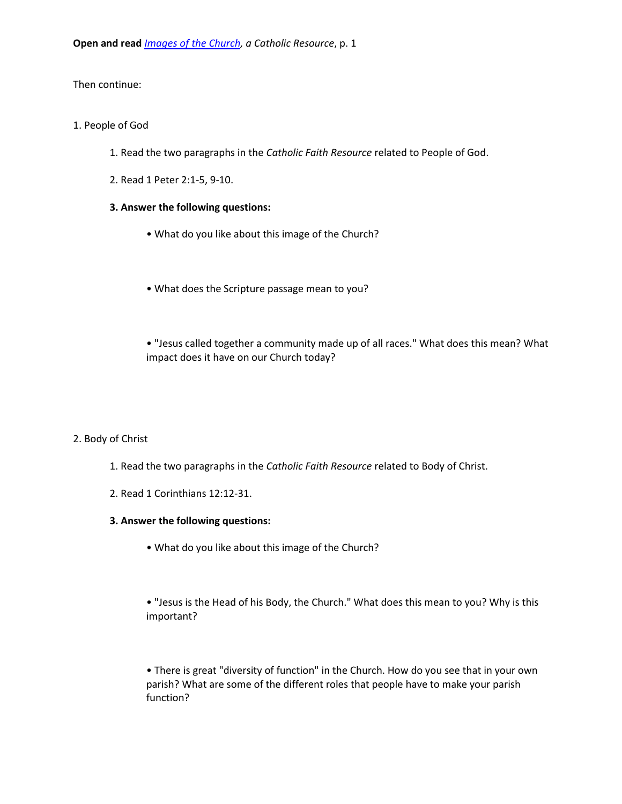Then continue:

## 1. People of God

- 1. Read the two paragraphs in the *Catholic Faith Resource* related to People of God.
- 2. Read 1 Peter 2:1-5, 9-10.

# **3. Answer the following questions:**

- What do you like about this image of the Church?
- What does the Scripture passage mean to you?
- "Jesus called together a community made up of all races." What does this mean? What impact does it have on our Church today?

# 2. Body of Christ

- 1. Read the two paragraphs in the *Catholic Faith Resource* related to Body of Christ.
- 2. Read 1 Corinthians 12:12-31.

## **3. Answer the following questions:**

- What do you like about this image of the Church?
- "Jesus is the Head of his Body, the Church." What does this mean to you? Why is this important?

• There is great "diversity of function" in the Church. How do you see that in your own parish? What are some of the different roles that people have to make your parish function?